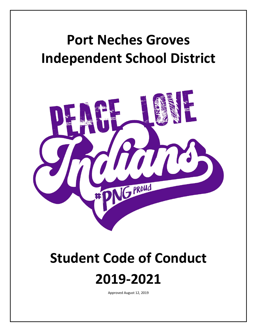## **Port Neches Groves Independent School District**



# **Student Code of Conduct**



Approved August 12, 2019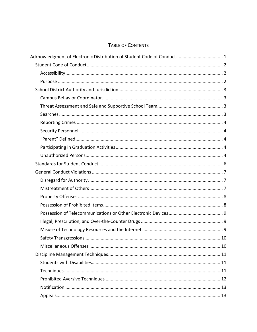## TABLE OF CONTENTS

| Acknowledgment of Electronic Distribution of Student Code of Conduct 1 |  |
|------------------------------------------------------------------------|--|
|                                                                        |  |
|                                                                        |  |
|                                                                        |  |
|                                                                        |  |
|                                                                        |  |
|                                                                        |  |
|                                                                        |  |
|                                                                        |  |
|                                                                        |  |
|                                                                        |  |
|                                                                        |  |
|                                                                        |  |
|                                                                        |  |
|                                                                        |  |
|                                                                        |  |
|                                                                        |  |
|                                                                        |  |
|                                                                        |  |
|                                                                        |  |
|                                                                        |  |
|                                                                        |  |
|                                                                        |  |
|                                                                        |  |
|                                                                        |  |
|                                                                        |  |
|                                                                        |  |
|                                                                        |  |
|                                                                        |  |
|                                                                        |  |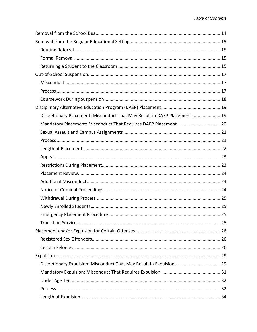| Discretionary Placement: Misconduct That May Result in DAEP Placement 19 |  |
|--------------------------------------------------------------------------|--|
| Mandatory Placement: Misconduct That Requires DAEP Placement  20         |  |
|                                                                          |  |
|                                                                          |  |
|                                                                          |  |
|                                                                          |  |
|                                                                          |  |
|                                                                          |  |
|                                                                          |  |
|                                                                          |  |
|                                                                          |  |
|                                                                          |  |
|                                                                          |  |
|                                                                          |  |
|                                                                          |  |
|                                                                          |  |
|                                                                          |  |
|                                                                          |  |
| Discretionary Expulsion: Misconduct That May Result in Expulsion  29     |  |
|                                                                          |  |
|                                                                          |  |
|                                                                          |  |
|                                                                          |  |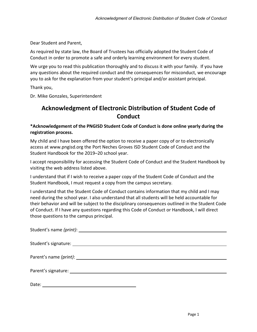Dear Student and Parent,

As required by state law, the Board of Trustees has officially adopted the Student Code of Conduct in order to promote a safe and orderly learning environment for every student.

We urge you to read this publication thoroughly and to discuss it with your family. If you have any questions about the required conduct and the consequences for misconduct, we encourage you to ask for the explanation from your student's principal and/or assistant principal.

Thank you,

<span id="page-4-0"></span>Dr. Mike Gonzales, Superintendent

## **Acknowledgment of Electronic Distribution of Student Code of Conduct**

**\*Acknowledgement of the PNGISD Student Code of Conduct is done online yearly during the registration process.**

My child and I have been offered the option to receive a paper copy of or to electronically access at www.pngisd.org the Port Neches Groves ISD Student Code of Conduct and the Student Handbook for the 2019–20 school year.

I accept responsibility for accessing the Student Code of Conduct and the Student Handbook by visiting the web address listed above.

I understand that if I wish to receive a paper copy of the Student Code of Conduct and the Student Handbook, I must request a copy from the campus secretary.

I understand that the Student Code of Conduct contains information that my child and I may need during the school year. I also understand that all students will be held accountable for their behavior and will be subject to the disciplinary consequences outlined in the Student Code of Conduct. If I have any questions regarding this Code of Conduct or Handbook, I will direct those questions to the campus principal.

| Date: |
|-------|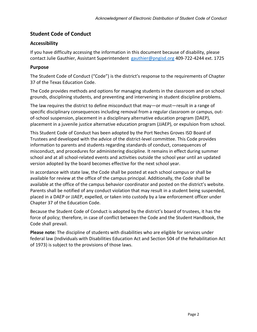## <span id="page-5-0"></span>**Student Code of Conduct**

## <span id="page-5-1"></span>**Accessibility**

If you have difficulty accessing the information in this document because of disability, please contact Julie Gauthier, Assistant Superintendent [gauthier@pngisd.org](mailto:gauthier@pngisd.org) 409-722-4244 ext. 1725

## <span id="page-5-2"></span>**Purpose**

The Student Code of Conduct ("Code") is the district's response to the requirements of Chapter 37 of the Texas Education Code.

The Code provides methods and options for managing students in the classroom and on school grounds, disciplining students, and preventing and intervening in student discipline problems.

The law requires the district to define misconduct that may—or must—result in a range of specific disciplinary consequences including removal from a regular classroom or campus, outof-school suspension, placement in a disciplinary alternative education program (DAEP), placement in a juvenile justice alternative education program (JJAEP), or expulsion from school.

This Student Code of Conduct has been adopted by the Port Neches Groves ISD Board of Trustees and developed with the advice of the district-level committee. This Code provides information to parents and students regarding standards of conduct, consequences of misconduct, and procedures for administering discipline. It remains in effect during summer school and at all school-related events and activities outside the school year until an updated version adopted by the board becomes effective for the next school year.

In accordance with state law, the Code shall be posted at each school campus or shall be available for review at the office of the campus principal. Additionally, the Code shall be available at the office of the campus behavior coordinator and posted on the district's website. Parents shall be notified of any conduct violation that may result in a student being suspended, placed in a DAEP or JJAEP, expelled, or taken into custody by a law enforcement officer under Chapter 37 of the Education Code.

Because the Student Code of Conduct is adopted by the district's board of trustees, it has the force of policy; therefore, in case of conflict between the Code and the Student Handbook, the Code shall prevail.

**Please note:** The discipline of students with disabilities who are eligible for services under federal law (Individuals with Disabilities Education Act and Section 504 of the Rehabilitation Act of 1973) is subject to the provisions of those laws.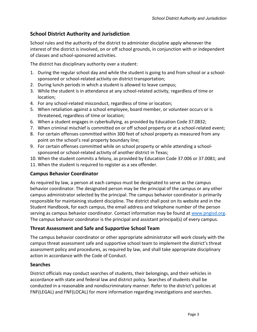## <span id="page-6-0"></span>**School District Authority and Jurisdiction**

School rules and the authority of the district to administer discipline apply whenever the interest of the district is involved, on or off school grounds, in conjunction with or independent of classes and school-sponsored activities.

The district has disciplinary authority over a student:

- 1. During the regular school day and while the student is going to and from school or a schoolsponsored or school-related activity on district transportation;
- 2. During lunch periods in which a student is allowed to leave campus;
- 3. While the student is in attendance at any school-related activity, regardless of time or location;
- 4. For any school-related misconduct, regardless of time or location;
- 5. When retaliation against a school employee, board member, or volunteer occurs or is threatened, regardless of time or location;
- 6. When a student engages in cyberbullying, as provided by Education Code 37.0832;
- 7. When criminal mischief is committed on or off school property or at a school-related event;
- 8. For certain offenses committed within 300 feet of school property as measured from any point on the school's real property boundary line;
- 9. For certain offenses committed while on school property or while attending a schoolsponsored or school-related activity of another district in Texas;
- 10. When the student commits a felony, as provided by Education Code 37.006 or 37.0081; and
- 11. When the student is required to register as a sex offender.

## <span id="page-6-1"></span>**Campus Behavior Coordinator**

As required by law, a person at each campus must be designated to serve as the campus behavior coordinator. The designated person may be the principal of the campus or any other campus administrator selected by the principal. The campus behavior coordinator is primarily responsible for maintaining student discipline. The district shall post on its website and in the Student Handbook, for each campus, the email address and telephone number of the person serving as campus behavior coordinator. Contact information may be found at [www.pngisd.org.](http://www.pngisd.org/) The campus behavior coordinator is the principal and assistant principal(s) of every campus.

## <span id="page-6-2"></span>**Threat Assessment and Safe and Supportive School Team**

The campus behavior coordinator or other appropriate administrator will work closely with the campus threat assessment safe and supportive school team to implement the district's threat assessment policy and procedures, as required by law, and shall take appropriate disciplinary action in accordance with the Code of Conduct.

## <span id="page-6-3"></span>**Searches**

District officials may conduct searches of students, their belongings, and their vehicles in accordance with state and federal law and district policy. Searches of students shall be conducted in a reasonable and nondiscriminatory manner. Refer to the district's policies at FNF(LEGAL) and FNF(LOCAL) for more information regarding investigations and searches.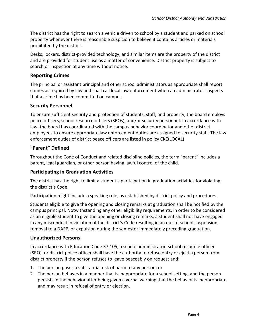The district has the right to search a vehicle driven to school by a student and parked on school property whenever there is reasonable suspicion to believe it contains articles or materials prohibited by the district.

Desks, lockers, district-provided technology, and similar items are the property of the district and are provided for student use as a matter of convenience. District property is subject to search or inspection at any time without notice.

## <span id="page-7-0"></span>**Reporting Crimes**

The principal or assistant principal and other school administrators as appropriate shall report crimes as required by law and shall call local law enforcement when an administrator suspects that a crime has been committed on campus.

## <span id="page-7-1"></span>**Security Personnel**

To ensure sufficient security and protection of students, staff, and property, the board employs police officers, school resource officers (SROs), and/or security personnel. In accordance with law, the board has coordinated with the campus behavior coordinator and other district employees to ensure appropriate law enforcement duties are assigned to security staff. The law enforcement duties of district peace officers are listed in policy CKE(LOCAL)

## <span id="page-7-2"></span>**"Parent" Defined**

Throughout the Code of Conduct and related discipline policies, the term "parent" includes a parent, legal guardian, or other person having lawful control of the child.

## <span id="page-7-3"></span>**Participating in Graduation Activities**

The district has the right to limit a student's participation in graduation activities for violating the district's Code.

Participation might include a speaking role, as established by district policy and procedures.

Students eligible to give the opening and closing remarks at graduation shall be notified by the campus principal. Notwithstanding any other eligibility requirements, in order to be considered as an eligible student to give the opening or closing remarks, a student shall not have engaged in any misconduct in violation of the district's Code resulting in an out-of-school suspension, removal to a DAEP, or expulsion during the semester immediately preceding graduation.

## <span id="page-7-4"></span>**Unauthorized Persons**

In accordance with Education Code 37.105, a school administrator, school resource officer (SRO), or district police officer shall have the authority to refuse entry or eject a person from district property if the person refuses to leave peaceably on request and:

- 1. The person poses a substantial risk of harm to any person; or
- 2. The person behaves in a manner that is inappropriate for a school setting, and the person persists in the behavior after being given a verbal warning that the behavior is inappropriate and may result in refusal of entry or ejection.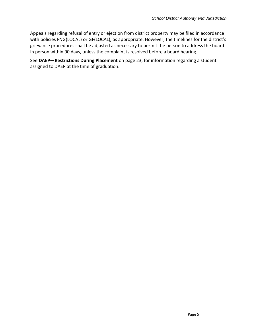Appeals regarding refusal of entry or ejection from district property may be filed in accordance with policies FNG(LOCAL) or GF(LOCAL), as appropriate. However, the timelines for the district's grievance procedures shall be adjusted as necessary to permit the person to address the board in person within 90 days, unless the complaint is resolved before a board hearing.

See **DAEP—Restrictions During Placement** on page [23,](#page-26-1) for information regarding a student assigned to DAEP at the time of graduation.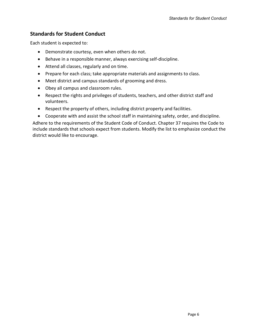## <span id="page-9-0"></span>**Standards for Student Conduct**

Each student is expected to:

- Demonstrate courtesy, even when others do not.
- Behave in a responsible manner, always exercising self-discipline.
- Attend all classes, regularly and on time.
- Prepare for each class; take appropriate materials and assignments to class.
- Meet district and campus standards of grooming and dress.
- Obey all campus and classroom rules.
- Respect the rights and privileges of students, teachers, and other district staff and volunteers.
- Respect the property of others, including district property and facilities.
- Cooperate with and assist the school staff in maintaining safety, order, and discipline.

Adhere to the requirements of the Student Code of Conduct. Chapter 37 requires the Code to include standards that schools expect from students. Modify the list to emphasize conduct the district would like to encourage.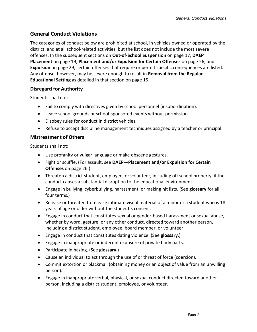## <span id="page-10-0"></span>**General Conduct Violations**

The categories of conduct below are prohibited at school, in vehicles owned or operated by the district, and at all school-related activities, but the list does not include the most severe offenses. In the subsequent sections on **Out-of-School Suspension** on page [17,](#page-20-0) **DAEP Placement** on page [19,](#page-22-0) **Placement and/or Expulsion for Certain Offenses** on page [26](#page-29-0)**,** and **Expulsion** on page [29,](#page-32-0) certain offenses that require or permit specific consequences are listed. Any offense, however, may be severe enough to result in **Removal from the Regular Educational Setting** as detailed in that section on page [15.](#page-18-0)

## <span id="page-10-1"></span>**Disregard for Authority**

Students shall not:

- Fail to comply with directives given by school personnel (insubordination).
- Leave school grounds or school-sponsored events without permission.
- Disobey rules for conduct in district vehicles.
- Refuse to accept discipline management techniques assigned by a teacher or principal.

## <span id="page-10-2"></span>**Mistreatment of Others**

Students shall not:

- Use profanity or vulgar language or make obscene gestures.
- Fight or scuffle. (For assault, see **DAEP—Placement and/or Expulsion for Certain Offenses** on page [26.](#page-29-0))
- Threaten a district student, employee, or volunteer, including off school property, if the conduct causes a substantial disruption to the educational environment.
- Engage in bullying, cyberbullying, harassment, or making hit lists. (See **glossary** for all four terms.)
- Release or threaten to release intimate visual material of a minor or a student who is 18 years of age or older without the student's consent.
- Engage in conduct that constitutes sexual or gender-based harassment or sexual abuse, whether by word, gesture, or any other conduct, directed toward another person, including a district student, employee, board member, or volunteer.
- Engage in conduct that constitutes dating violence. (See **glossary**.)
- Engage in inappropriate or indecent exposure of private body parts.
- Participate in hazing. (See **glossary**.)
- Cause an individual to act through the use of or threat of force (coercion).
- Commit extortion or blackmail (obtaining money or an object of value from an unwilling person).
- Engage in inappropriate verbal, physical, or sexual conduct directed toward another person, including a district student, employee, or volunteer.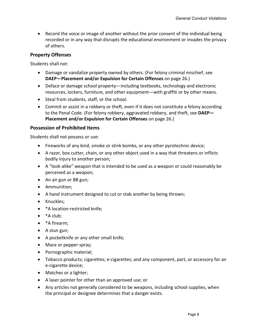• Record the voice or image of another without the prior consent of the individual being recorded or in any way that disrupts the educational environment or invades the privacy of others.

## <span id="page-11-0"></span>**Property Offenses**

Students shall not:

- Damage or vandalize property owned by others. (For felony criminal mischief, see **DAEP—Placement and/or Expulsion for Certain Offenses** on pag[e 26.](#page-29-0))
- Deface or damage school property—including textbooks, technology and electronic resources, lockers, furniture, and other equipment—with graffiti or by other means.
- Steal from students, staff, or the school.
- Commit or assist in a robbery or theft, even if it does not constitute a felony according to the Penal Code. (For felony robbery, aggravated robbery, and theft, see **DAEP— Placement and/or Expulsion for Certain Offenses** on pag[e 26.](#page-29-0))

## <span id="page-11-1"></span>**Possession of Prohibited Items**

Students shall not possess or use:

- Fireworks of any kind, smoke or stink bombs, or any other pyrotechnic device;
- A razor, box cutter, chain, or any other object used in a way that threatens or inflicts bodily injury to another person;
- A "look-alike" weapon that is intended to be used as a weapon or could reasonably be perceived as a weapon;
- An air gun or BB gun;
- Ammunition;
- A hand instrument designed to cut or stab another by being thrown;
- Knuckles;
- \*A location-restricted knife;
- \*A club;
- \*A firearm;
- A stun gun;
- A pocketknife or any other small knife;
- Mace or pepper spray;
- Pornographic material;
- Tobacco products; cigarettes; e-cigarettes; and any component, part, or accessory for an e-cigarette device;
- Matches or a lighter;
- A laser pointer for other than an approved use; or
- Any articles not generally considered to be weapons, including school supplies, when the principal or designee determines that a danger exists.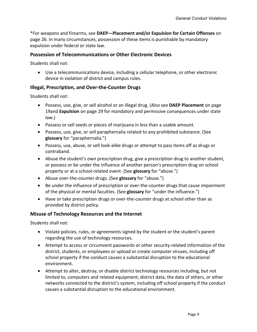\*For weapons and firearms, see **DAEP—Placement and/or Expulsion for Certain Offenses** on page [26.](#page-29-0) In many circumstances, possession of these items is punishable by mandatory expulsion under federal or state law.

#### <span id="page-12-0"></span>**Possession of Telecommunications or Other Electronic Devices**

Students shall not:

• Use a telecommunications device, including a cellular telephone, or other electronic device in violation of district and campus rules.

## <span id="page-12-1"></span>**Illegal, Prescription, and Over-the-Counter Drugs**

Students shall not:

- Possess, use, give, or sell alcohol or an illegal drug. (Also see **DAEP Placement** on page [19a](#page-22-0)nd **Expulsion** on page [29](#page-32-0) for mandatory and permissive consequences under state law.)
- Possess or sell seeds or pieces of marijuana in less than a usable amount.
- Possess, use, give, or sell paraphernalia related to any prohibited substance. (See **glossary** for "paraphernalia.")
- Possess, use, abuse, or sell look-alike drugs or attempt to pass items off as drugs or contraband.
- Abuse the student's own prescription drug, give a prescription drug to another student, or possess or be under the influence of another person's prescription drug on school property or at a school-related event. (See **glossary** for "abuse.")
- Abuse over-the-counter drugs. (See **glossary** for "abuse.")
- Be under the influence of prescription or over-the-counter drugs that cause impairment of the physical or mental faculties. (See **glossary** for "under the influence.")
- Have or take prescription drugs or over-the-counter drugs at school other than as provided by district policy.

#### <span id="page-12-2"></span>**Misuse of Technology Resources and the Internet**

Students shall not:

- Violate policies, rules, or agreements signed by the student or the student's parent regarding the use of technology resources.
- Attempt to access or circumvent passwords or other security-related information of the district, students, or employees or upload or create computer viruses, including off school property if the conduct causes a substantial disruption to the educational environment.
- Attempt to alter, destroy, or disable district technology resources including, but not limited to, computers and related equipment, district data, the data of others, or other networks connected to the district's system, including off school property if the conduct causes a substantial disruption to the educational environment.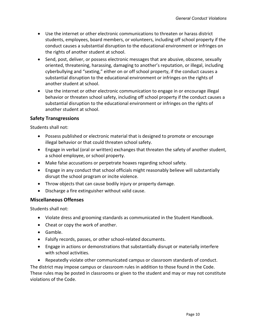- Use the internet or other electronic communications to threaten or harass district students, employees, board members, or volunteers, including off school property if the conduct causes a substantial disruption to the educational environment or infringes on the rights of another student at school.
- Send, post, deliver, or possess electronic messages that are abusive, obscene, sexually oriented, threatening, harassing, damaging to another's reputation, or illegal, including cyberbullying and "sexting," either on or off school property, if the conduct causes a substantial disruption to the educational environment or infringes on the rights of another student at school.
- Use the internet or other electronic communication to engage in or encourage illegal behavior or threaten school safety, including off school property if the conduct causes a substantial disruption to the educational environment or infringes on the rights of another student at school.

## <span id="page-13-0"></span>**Safety Transgressions**

Students shall not:

- Possess published or electronic material that is designed to promote or encourage illegal behavior or that could threaten school safety.
- Engage in verbal (oral or written) exchanges that threaten the safety of another student, a school employee, or school property.
- Make false accusations or perpetrate hoaxes regarding school safety.
- Engage in any conduct that school officials might reasonably believe will substantially disrupt the school program or incite violence.
- Throw objects that can cause bodily injury or property damage.
- Discharge a fire extinguisher without valid cause.

## <span id="page-13-1"></span>**Miscellaneous Offenses**

Students shall not:

- Violate dress and grooming standards as communicated in the Student Handbook.
- Cheat or copy the work of another.
- Gamble.
- Falsify records, passes, or other school-related documents.
- Engage in actions or demonstrations that substantially disrupt or materially interfere with school activities.
- Repeatedly violate other communicated campus or classroom standards of conduct.

The district may impose campus or classroom rules in addition to those found in the Code. These rules may be posted in classrooms or given to the student and may or may not constitute violations of the Code.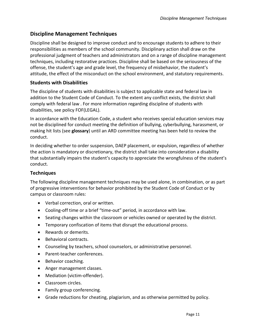## <span id="page-14-0"></span>**Discipline Management Techniques**

Discipline shall be designed to improve conduct and to encourage students to adhere to their responsibilities as members of the school community. Disciplinary action shall draw on the professional judgment of teachers and administrators and on a range of discipline management techniques, including restorative practices. Discipline shall be based on the seriousness of the offense, the student's age and grade level, the frequency of misbehavior, the student's attitude, the effect of the misconduct on the school environment, and statutory requirements.

## <span id="page-14-1"></span>**Students with Disabilities**

The discipline of students with disabilities is subject to applicable state and federal law in addition to the Student Code of Conduct. To the extent any conflict exists, the district shall comply with federal law . For more information regarding discipline of students with disabilities, see policy FOF(LEGAL).

In accordance with the Education Code, a student who receives special education services may not be disciplined for conduct meeting the definition of bullying, cyberbullying, harassment, or making hit lists (see **glossary**) until an ARD committee meeting has been held to review the conduct.

In deciding whether to order suspension, DAEP placement, or expulsion, regardless of whether the action is mandatory or discretionary, the district shall take into consideration a disability that substantially impairs the student's capacity to appreciate the wrongfulness of the student's conduct.

## <span id="page-14-2"></span>**Techniques**

The following discipline management techniques may be used alone, in combination, or as part of progressive interventions for behavior prohibited by the Student Code of Conduct or by campus or classroom rules:

- Verbal correction, oral or written.
- Cooling-off time or a brief "time-out" period, in accordance with law.
- Seating changes within the classroom or vehicles owned or operated by the district.
- Temporary confiscation of items that disrupt the educational process.
- Rewards or demerits.
- Behavioral contracts.
- Counseling by teachers, school counselors, or administrative personnel.
- Parent-teacher conferences.
- Behavior coaching.
- Anger management classes.
- Mediation (victim-offender).
- Classroom circles.
- Family group conferencing.
- Grade reductions for cheating, plagiarism, and as otherwise permitted by policy.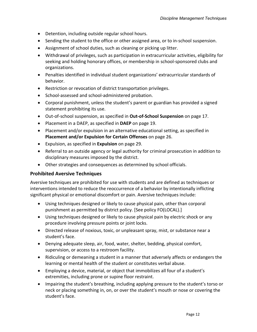- Detention, including outside regular school hours.
- Sending the student to the office or other assigned area, or to in-school suspension.
- Assignment of school duties, such as cleaning or picking up litter.
- Withdrawal of privileges, such as participation in extracurricular activities, eligibility for seeking and holding honorary offices, or membership in school-sponsored clubs and organizations.
- Penalties identified in individual student organizations' extracurricular standards of behavior.
- Restriction or revocation of district transportation privileges.
- School-assessed and school-administered probation.
- Corporal punishment, unless the student's parent or guardian has provided a signed statement prohibiting its use.
- Out-of-school suspension, as specified in **Out-of-School Suspension** on page [17.](#page-20-0)
- Placement in a DAEP, as specified in **DAEP** on page [19.](#page-22-0)
- Placement and/or expulsion in an alternative educational setting, as specified in **Placement and/or Expulsion for Certain Offenses** on pag[e 26.](#page-29-0)
- Expulsion, as specified in **Expulsion** on page [29.](#page-32-0)
- Referral to an outside agency or legal authority for criminal prosecution in addition to disciplinary measures imposed by the district.
- Other strategies and consequences as determined by school officials.

## <span id="page-15-0"></span>**Prohibited Aversive Techniques**

Aversive techniques are prohibited for use with students and are defined as techniques or interventions intended to reduce the reoccurrence of a behavior by intentionally inflicting significant physical or emotional discomfort or pain. Aversive techniques include:

- Using techniques designed or likely to cause physical pain, other than corporal punishment as permitted by district policy. [See policy FO(LOCAL).]
- Using techniques designed or likely to cause physical pain by electric shock or any procedure involving pressure points or joint locks.
- Directed release of noxious, toxic, or unpleasant spray, mist, or substance near a student's face.
- Denying adequate sleep, air, food, water, shelter, bedding, physical comfort, supervision, or access to a restroom facility.
- Ridiculing or demeaning a student in a manner that adversely affects or endangers the learning or mental health of the student or constitutes verbal abuse.
- Employing a device, material, or object that immobilizes all four of a student's extremities, including prone or supine floor restraint.
- Impairing the student's breathing, including applying pressure to the student's torso or neck or placing something in, on, or over the student's mouth or nose or covering the student's face.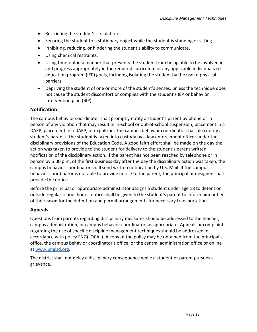- Restricting the student's circulation.
- Securing the student to a stationary object while the student is standing or sitting.
- Inhibiting, reducing, or hindering the student's ability to communicate.
- Using chemical restraints.
- Using time-out in a manner that prevents the student from being able to be involved in and progress appropriately in the required curriculum or any applicable individualized education program (IEP) goals, including isolating the student by the use of physical barriers.
- Depriving the student of one or more of the student's senses, unless the technique does not cause the student discomfort or complies with the student's IEP or behavior intervention plan (BIP).

## <span id="page-16-0"></span>**Notification**

The campus behavior coordinator shall promptly notify a student's parent by phone or in person of any violation that may result in in-school or out-of-school suspension, placement in a DAEP, placement in a JJAEP, or expulsion. The campus behavior coordinator shall also notify a student's parent if the student is taken into custody by a law enforcement officer under the disciplinary provisions of the Education Code. A good faith effort shall be made on the day the action was taken to provide to the student for delivery to the student's parent written notification of the disciplinary action. If the parent has not been reached by telephone or in person by 5:00 p.m. of the first business day after the day the disciplinary action was taken, the campus behavior coordinator shall send written notification by U.S. Mail. If the campus behavior coordinator is not able to provide notice to the parent, the principal or designee shall provide the notice.

Before the principal or appropriate administrator assigns a student under age 18 to detention outside regular school hours, notice shall be given to the student's parent to inform him or her of the reason for the detention and permit arrangements for necessary transportation.

## <span id="page-16-1"></span>**Appeals**

Questions from parents regarding disciplinary measures should be addressed to the teacher, campus administration, or campus behavior coordinator, as appropriate. Appeals or complaints regarding the use of specific discipline management techniques should be addressed in accordance with policy FNG(LOCAL). A copy of the policy may be obtained from the principal's office, the campus behavior coordinator's office, or the central administration office or online at [www.pngisd.org.](http://www.pngisd.org/)

The district shall not delay a disciplinary consequence while a student or parent pursues a grievance.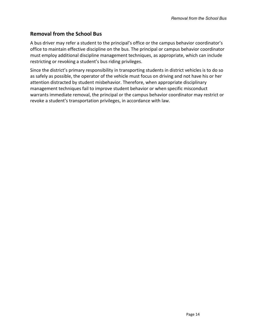## <span id="page-17-0"></span>**Removal from the School Bus**

A bus driver may refer a student to the principal's office or the campus behavior coordinator's office to maintain effective discipline on the bus. The principal or campus behavior coordinator must employ additional discipline management techniques, as appropriate, which can include restricting or revoking a student's bus riding privileges.

Since the district's primary responsibility in transporting students in district vehicles is to do so as safely as possible, the operator of the vehicle must focus on driving and not have his or her attention distracted by student misbehavior. Therefore, when appropriate disciplinary management techniques fail to improve student behavior or when specific misconduct warrants immediate removal, the principal or the campus behavior coordinator may restrict or revoke a student's transportation privileges, in accordance with law.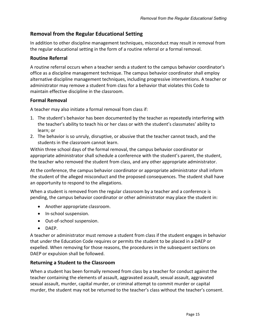## <span id="page-18-0"></span>**Removal from the Regular Educational Setting**

In addition to other discipline management techniques, misconduct may result in removal from the regular educational setting in the form of a routine referral or a formal removal.

## <span id="page-18-1"></span>**Routine Referral**

A routine referral occurs when a teacher sends a student to the campus behavior coordinator's office as a discipline management technique. The campus behavior coordinator shall employ alternative discipline management techniques, including progressive interventions. A teacher or administrator may remove a student from class for a behavior that violates this Code to maintain effective discipline in the classroom.

## <span id="page-18-2"></span>**Formal Removal**

A teacher may also initiate a formal removal from class if:

- 1. The student's behavior has been documented by the teacher as repeatedly interfering with the teacher's ability to teach his or her class or with the student's classmates' ability to learn; or
- 2. The behavior is so unruly, disruptive, or abusive that the teacher cannot teach, and the students in the classroom cannot learn.

Within three school days of the formal removal, the campus behavior coordinator or appropriate administrator shall schedule a conference with the student's parent, the student, the teacher who removed the student from class, and any other appropriate administrator.

At the conference, the campus behavior coordinator or appropriate administrator shall inform the student of the alleged misconduct and the proposed consequences. The student shall have an opportunity to respond to the allegations.

When a student is removed from the regular classroom by a teacher and a conference is pending, the campus behavior coordinator or other administrator may place the student in:

- Another appropriate classroom.
- In-school suspension.
- Out-of-school suspension.
- DAEP.

A teacher or administrator must remove a student from class if the student engages in behavior that under the Education Code requires or permits the student to be placed in a DAEP or expelled. When removing for those reasons, the procedures in the subsequent sections on DAEP or expulsion shall be followed.

## <span id="page-18-3"></span>**Returning a Student to the Classroom**

When a student has been formally removed from class by a teacher for conduct against the teacher containing the elements of assault, aggravated assault, sexual assault, aggravated sexual assault, murder, capital murder, or criminal attempt to commit murder or capital murder, the student may not be returned to the teacher's class without the teacher's consent.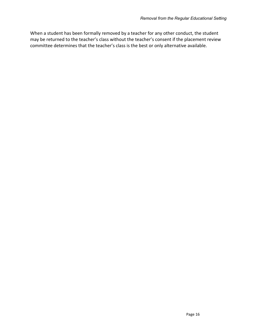When a student has been formally removed by a teacher for any other conduct, the student may be returned to the teacher's class without the teacher's consent if the placement review committee determines that the teacher's class is the best or only alternative available.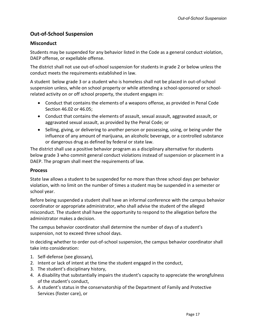## <span id="page-20-0"></span>**Out-of-School Suspension**

## <span id="page-20-1"></span>**Misconduct**

Students may be suspended for any behavior listed in the Code as a general conduct violation, DAEP offense, or expellable offense.

The district shall not use out-of-school suspension for students in grade 2 or below unless the conduct meets the requirements established in law.

A student below grade 3 or a student who is homeless shall not be placed in out-of-school suspension unless, while on school property or while attending a school-sponsored or schoolrelated activity on or off school property, the student engages in:

- Conduct that contains the elements of a weapons offense, as provided in Penal Code Section 46.02 or 46.05;
- Conduct that contains the elements of assault, sexual assault, aggravated assault, or aggravated sexual assault, as provided by the Penal Code; or
- Selling, giving, or delivering to another person or possessing, using, or being under the influence of any amount of marijuana, an alcoholic beverage, or a controlled substance or dangerous drug as defined by federal or state law.

The district shall use a positive behavior program as a disciplinary alternative for students below grade 3 who commit general conduct violations instead of suspension or placement in a DAEP. The program shall meet the requirements of law.

## <span id="page-20-2"></span>**Process**

State law allows a student to be suspended for no more than three school days per behavior violation, with no limit on the number of times a student may be suspended in a semester or school year.

Before being suspended a student shall have an informal conference with the campus behavior coordinator or appropriate administrator, who shall advise the student of the alleged misconduct. The student shall have the opportunity to respond to the allegation before the administrator makes a decision.

The campus behavior coordinator shall determine the number of days of a student's suspension, not to exceed three school days.

In deciding whether to order out-of-school suspension, the campus behavior coordinator shall take into consideration:

- 1. Self-defense (see glossary),
- 2. Intent or lack of intent at the time the student engaged in the conduct,
- 3. The student's disciplinary history,
- 4. A disability that substantially impairs the student's capacity to appreciate the wrongfulness of the student's conduct,
- 5. A student's status in the conservatorship of the Department of Family and Protective Services (foster care), or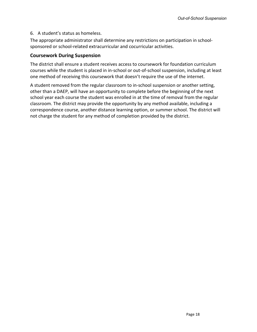## 6. A student's status as homeless.

The appropriate administrator shall determine any restrictions on participation in schoolsponsored or school-related extracurricular and cocurricular activities.

## <span id="page-21-0"></span>**Coursework During Suspension**

The district shall ensure a student receives access to coursework for foundation curriculum courses while the student is placed in in-school or out-of-school suspension, including at least one method of receiving this coursework that doesn't require the use of the internet.

A student removed from the regular classroom to in-school suspension or another setting, other than a DAEP, will have an opportunity to complete before the beginning of the next school year each course the student was enrolled in at the time of removal from the regular classroom. The district may provide the opportunity by any method available, including a correspondence course, another distance learning option, or summer school. The district will not charge the student for any method of completion provided by the district.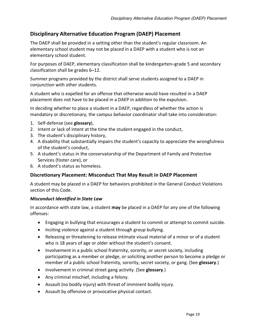## <span id="page-22-0"></span>**Disciplinary Alternative Education Program (DAEP) Placement**

The DAEP shall be provided in a setting other than the student's regular classroom. An elementary school student may not be placed in a DAEP with a student who is not an elementary school student.

For purposes of DAEP, elementary classification shall be kindergarten–grade 5 and secondary classification shall be grades 6–12.

Summer programs provided by the district shall serve students assigned to a DAEP in conjunction with other students.

A student who is expelled for an offense that otherwise would have resulted in a DAEP placement does not have to be placed in a DAEP in addition to the expulsion.

In deciding whether to place a student in a DAEP, regardless of whether the action is mandatory or discretionary, the campus behavior coordinator shall take into consideration:

- 1. Self-defense (see **glossary**),
- 2. Intent or lack of intent at the time the student engaged in the conduct,
- 3. The student's disciplinary history,
- 4. A disability that substantially impairs the student's capacity to appreciate the wrongfulness of the student's conduct,
- 5. A student's status in the conservatorship of the Department of Family and Protective Services (foster care), or
- 6. A student's status as homeless.

## <span id="page-22-1"></span>**Discretionary Placement: Misconduct That May Result in DAEP Placement**

A student may be placed in a DAEP for behaviors prohibited in the General Conduct Violations section of this Code.

## *Misconduct Identified in State Law*

In accordance with state law, a student **may** be placed in a DAEP for any one of the following offenses:

- Engaging in bullying that encourages a student to commit or attempt to commit suicide.
- Inciting violence against a student through group bullying.
- Releasing or threatening to release intimate visual material of a minor or of a student who is 18 years of age or older without the student's consent.
- Involvement in a public school fraternity, sorority, or secret society, including participating as a member or pledge, or soliciting another person to become a pledge or member of a public school fraternity, sorority, secret society, or gang. (See **glossary**.)
- Involvement in criminal street gang activity. (See **glossary**.)
- Any criminal mischief, including a felony.
- Assault (no bodily injury) with threat of imminent bodily injury.
- Assault by offensive or provocative physical contact.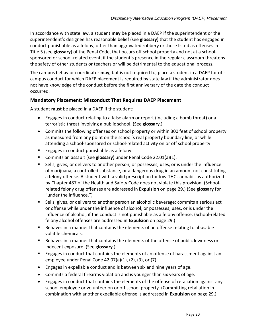In accordance with state law, a student **may** be placed in a DAEP if the superintendent or the superintendent's designee has reasonable belief (see **glossary**) that the student has engaged in conduct punishable as a felony, other than aggravated robbery or those listed as offenses in Title 5 (see **glossary**) of the Penal Code, that occurs off school property and not at a schoolsponsored or school-related event, if the student's presence in the regular classroom threatens the safety of other students or teachers or will be detrimental to the educational process.

The campus behavior coordinator **may**, but is not required to, place a student in a DAEP for offcampus conduct for which DAEP placement is required by state law if the administrator does not have knowledge of the conduct before the first anniversary of the date the conduct occurred.

## <span id="page-23-0"></span>**Mandatory Placement: Misconduct That Requires DAEP Placement**

A student **must** be placed in a DAEP if the student:

- Engages in conduct relating to a false alarm or report (including a bomb threat) or a terroristic threat involving a public school. (See **glossary**.)
- Commits the following offenses on school property or within 300 feet of school property as measured from any point on the school's real property boundary line, or while attending a school-sponsored or school-related activity on or off school property:
- **Engages in conduct punishable as a felony.**
- Commits an assault (see **glossary**) under Penal Code 22.01(a)(1).
- Sells, gives, or delivers to another person, or possesses, uses, or is under the influence of marijuana, a controlled substance, or a dangerous drug in an amount not constituting a felony offense. A student with a valid prescription for low-THC cannabis as authorized by Chapter 487 of the Health and Safety Code does not violate this provision. (Schoolrelated felony drug offenses are addressed in **Expulsion** on page [29.](#page-32-0)) (See **glossary** for "under the influence.")
- Sells, gives, or delivers to another person an alcoholic beverage; commits a serious act or offense while under the influence of alcohol; or possesses, uses, or is under the influence of alcohol, if the conduct is not punishable as a felony offense. (School-related felony alcohol offenses are addressed in **Expulsion** on pag[e 29.](#page-32-0))
- Behaves in a manner that contains the elements of an offense relating to abusable volatile chemicals.
- **Behaves in a manner that contains the elements of the offense of public lewdness or** indecent exposure. (See **glossary**.)
- **Engages in conduct that contains the elements of an offense of harassment against an** employee under Penal Code 42.07(a)(1), (2), (3), or (7).
- Engages in expellable conduct and is between six and nine years of age.
- Commits a federal firearms violation and is younger than six years of age.
- Engages in conduct that contains the elements of the offense of retaliation against any school employee or volunteer on or off school property. (Committing retaliation in combination with another expellable offense is addressed in **Expulsion** on page [29.](#page-32-0))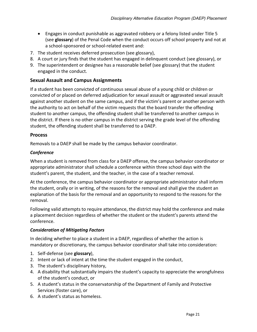- Engages in conduct punishable as aggravated robbery or a felony listed under Title 5 (see **glossary**) of the Penal Code when the conduct occurs off school property and not at a school-sponsored or school-related event and:
- 7. The student receives deferred prosecution (see glossary),
- 8. A court or jury finds that the student has engaged in delinquent conduct (see glossary), or
- 9. The superintendent or designee has a reasonable belief (see glossary) that the student engaged in the conduct.

## <span id="page-24-0"></span>**Sexual Assault and Campus Assignments**

If a student has been convicted of continuous sexual abuse of a young child or children or convicted of or placed on deferred adjudication for sexual assault or aggravated sexual assault against another student on the same campus, and if the victim's parent or another person with the authority to act on behalf of the victim requests that the board transfer the offending student to another campus, the offending student shall be transferred to another campus in the district. If there is no other campus in the district serving the grade level of the offending student, the offending student shall be transferred to a DAEP.

## <span id="page-24-1"></span>**Process**

Removals to a DAEP shall be made by the campus behavior coordinator.

## *Conference*

When a student is removed from class for a DAEP offense, the campus behavior coordinator or appropriate administrator shall schedule a conference within three school days with the student's parent, the student, and the teacher, in the case of a teacher removal.

At the conference, the campus behavior coordinator or appropriate administrator shall inform the student, orally or in writing, of the reasons for the removal and shall give the student an explanation of the basis for the removal and an opportunity to respond to the reasons for the removal.

Following valid attempts to require attendance, the district may hold the conference and make a placement decision regardless of whether the student or the student's parents attend the conference.

## *Consideration of Mitigating Factors*

In deciding whether to place a student in a DAEP, regardless of whether the action is mandatory or discretionary, the campus behavior coordinator shall take into consideration:

- 1. Self-defense (see **glossary**),
- 2. Intent or lack of intent at the time the student engaged in the conduct,
- 3. The student's disciplinary history,
- 4. A disability that substantially impairs the student's capacity to appreciate the wrongfulness of the student's conduct, or
- 5. A student's status in the conservatorship of the Department of Family and Protective Services (foster care), or
- 6. A student's status as homeless.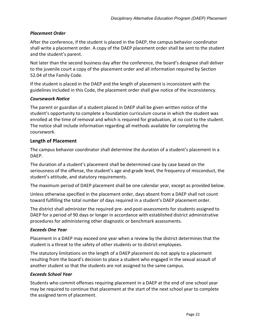## *Placement Order*

After the conference, if the student is placed in the DAEP, the campus behavior coordinator shall write a placement order. A copy of the DAEP placement order shall be sent to the student and the student's parent.

Not later than the second business day after the conference, the board's designee shall deliver to the juvenile court a copy of the placement order and all information required by Section 52.04 of the Family Code.

If the student is placed in the DAEP and the length of placement is inconsistent with the guidelines included in this Code, the placement order shall give notice of the inconsistency.

#### *Coursework Notice*

The parent or guardian of a student placed in DAEP shall be given written notice of the student's opportunity to complete a foundation curriculum course in which the student was enrolled at the time of removal and which is required for graduation, at no cost to the student. The notice shall include information regarding all methods available for completing the coursework.

## <span id="page-25-0"></span>**Length of Placement**

The campus behavior coordinator shall determine the duration of a student's placement in a DAEP.

The duration of a student's placement shall be determined case by case based on the seriousness of the offense, the student's age and grade level, the frequency of misconduct, the student's attitude, and statutory requirements.

The maximum period of DAEP placement shall be one calendar year, except as provided below.

Unless otherwise specified in the placement order, days absent from a DAEP shall not count toward fulfilling the total number of days required in a student's DAEP placement order.

The district shall administer the required pre- and post-assessments for students assigned to DAEP for a period of 90 days or longer in accordance with established district administrative procedures for administering other diagnostic or benchmark assessments.

#### *Exceeds One Year*

Placement in a DAEP may exceed one year when a review by the district determines that the student is a threat to the safety of other students or to district employees.

The statutory limitations on the length of a DAEP placement do not apply to a placement resulting from the board's decision to place a student who engaged in the sexual assault of another student so that the students are not assigned to the same campus.

#### *Exceeds School Year*

Students who commit offenses requiring placement in a DAEP at the end of one school year may be required to continue that placement at the start of the next school year to complete the assigned term of placement.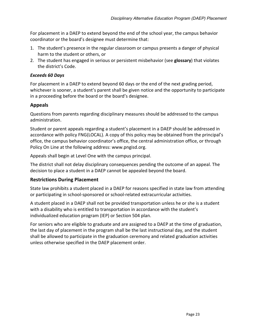For placement in a DAEP to extend beyond the end of the school year, the campus behavior coordinator or the board's designee must determine that:

- 1. The student's presence in the regular classroom or campus presents a danger of physical harm to the student or others, or
- 2. The student has engaged in serious or persistent misbehavior (see **glossary**) that violates the district's Code.

## *Exceeds 60 Days*

For placement in a DAEP to extend beyond 60 days or the end of the next grading period, whichever is sooner, a student's parent shall be given notice and the opportunity to participate in a proceeding before the board or the board's designee.

## <span id="page-26-0"></span>**Appeals**

Questions from parents regarding disciplinary measures should be addressed to the campus administration.

Student or parent appeals regarding a student's placement in a DAEP should be addressed in accordance with policy FNG(LOCAL). A copy of this policy may be obtained from the principal's office, the campus behavior coordinator's office, the central administration office, or through Policy On Line at the following address: www.pngisd.org.

Appeals shall begin at Level One with the campus principal.

The district shall not delay disciplinary consequences pending the outcome of an appeal. The decision to place a student in a DAEP cannot be appealed beyond the board.

## <span id="page-26-1"></span>**Restrictions During Placement**

State law prohibits a student placed in a DAEP for reasons specified in state law from attending or participating in school-sponsored or school-related extracurricular activities.

A student placed in a DAEP shall not be provided transportation unless he or she is a student with a disability who is entitled to transportation in accordance with the student's individualized education program (IEP) or Section 504 plan.

For seniors who are eligible to graduate and are assigned to a DAEP at the time of graduation, the last day of placement in the program shall be the last instructional day, and the student shall be allowed to participate in the graduation ceremony and related graduation activities unless otherwise specified in the DAEP placement order.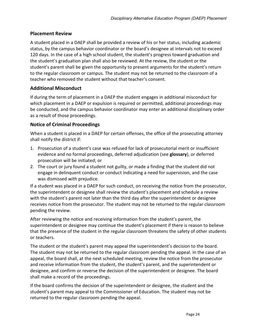## <span id="page-27-0"></span>**Placement Review**

A student placed in a DAEP shall be provided a review of his or her status, including academic status, by the campus behavior coordinator or the board's designee at intervals not to exceed 120 days. In the case of a high school student, the student's progress toward graduation and the student's graduation plan shall also be reviewed. At the review, the student or the student's parent shall be given the opportunity to present arguments for the student's return to the regular classroom or campus. The student may not be returned to the classroom of a teacher who removed the student without that teacher's consent.

## <span id="page-27-1"></span>**Additional Misconduct**

If during the term of placement in a DAEP the student engages in additional misconduct for which placement in a DAEP or expulsion is required or permitted, additional proceedings may be conducted, and the campus behavior coordinator may enter an additional disciplinary order as a result of those proceedings.

## <span id="page-27-2"></span>**Notice of Criminal Proceedings**

When a student is placed in a DAEP for certain offenses, the office of the prosecuting attorney shall notify the district if:

- 1. Prosecution of a student's case was refused for lack of prosecutorial merit or insufficient evidence and no formal proceedings, deferred adjudication (see **glossary**), or deferred prosecution will be initiated; or
- 2. The court or jury found a student not guilty, or made a finding that the student did not engage in delinquent conduct or conduct indicating a need for supervision, and the case was dismissed with prejudice.

If a student was placed in a DAEP for such conduct, on receiving the notice from the prosecutor, the superintendent or designee shall review the student's placement and schedule a review with the student's parent not later than the third day after the superintendent or designee receives notice from the prosecutor. The student may not be returned to the regular classroom pending the review.

After reviewing the notice and receiving information from the student's parent, the superintendent or designee may continue the student's placement if there is reason to believe that the presence of the student in the regular classroom threatens the safety of other students or teachers.

The student or the student's parent may appeal the superintendent's decision to the board. The student may not be returned to the regular classroom pending the appeal. In the case of an appeal, the board shall, at the next scheduled meeting, review the notice from the prosecutor and receive information from the student, the student's parent, and the superintendent or designee, and confirm or reverse the decision of the superintendent or designee. The board shall make a record of the proceedings.

If the board confirms the decision of the superintendent or designee, the student and the student's parent may appeal to the Commissioner of Education. The student may not be returned to the regular classroom pending the appeal.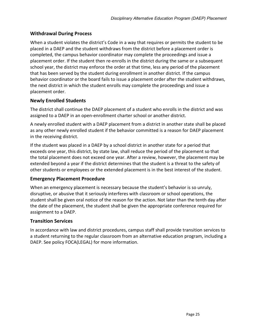## <span id="page-28-0"></span>**Withdrawal During Process**

When a student violates the district's Code in a way that requires or permits the student to be placed in a DAEP and the student withdraws from the district before a placement order is completed, the campus behavior coordinator may complete the proceedings and issue a placement order. If the student then re-enrolls in the district during the same or a subsequent school year, the district may enforce the order at that time, less any period of the placement that has been served by the student during enrollment in another district. If the campus behavior coordinator or the board fails to issue a placement order after the student withdraws, the next district in which the student enrolls may complete the proceedings and issue a placement order.

## <span id="page-28-1"></span>**Newly Enrolled Students**

The district shall continue the DAEP placement of a student who enrolls in the district and was assigned to a DAEP in an open-enrollment charter school or another district.

A newly enrolled student with a DAEP placement from a district in another state shall be placed as any other newly enrolled student if the behavior committed is a reason for DAEP placement in the receiving district.

If the student was placed in a DAEP by a school district in another state for a period that exceeds one year, this district, by state law, shall reduce the period of the placement so that the total placement does not exceed one year. After a review, however, the placement may be extended beyond a year if the district determines that the student is a threat to the safety of other students or employees or the extended placement is in the best interest of the student.

## <span id="page-28-2"></span>**Emergency Placement Procedure**

When an emergency placement is necessary because the student's behavior is so unruly, disruptive, or abusive that it seriously interferes with classroom or school operations, the student shall be given oral notice of the reason for the action. Not later than the tenth day after the date of the placement, the student shall be given the appropriate conference required for assignment to a DAEP.

## <span id="page-28-3"></span>**Transition Services**

In accordance with law and district procedures, campus staff shall provide transition services to a student returning to the regular classroom from an alternative education program, including a DAEP. See policy FOCA(LEGAL) for more information.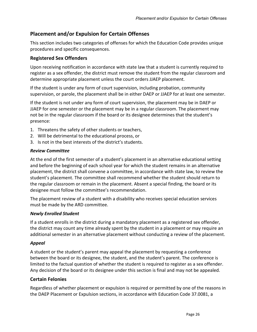## <span id="page-29-0"></span>**Placement and/or Expulsion for Certain Offenses**

This section includes two categories of offenses for which the Education Code provides unique procedures and specific consequences.

## <span id="page-29-1"></span>**Registered Sex Offenders**

Upon receiving notification in accordance with state law that a student is currently required to register as a sex offender, the district must remove the student from the regular classroom and determine appropriate placement unless the court orders JJAEP placement.

If the student is under any form of court supervision, including probation, community supervision, or parole, the placement shall be in either DAEP or JJAEP for at least one semester.

If the student is not under any form of court supervision, the placement may be in DAEP or JJAEP for one semester or the placement may be in a regular classroom. The placement may not be in the regular classroom if the board or its designee determines that the student's presence:

- 1. Threatens the safety of other students or teachers,
- 2. Will be detrimental to the educational process, or
- 3. Is not in the best interests of the district's students.

#### *Review Committee*

At the end of the first semester of a student's placement in an alternative educational setting and before the beginning of each school year for which the student remains in an alternative placement, the district shall convene a committee, in accordance with state law, to review the student's placement. The committee shall recommend whether the student should return to the regular classroom or remain in the placement. Absent a special finding, the board or its designee must follow the committee's recommendation.

The placement review of a student with a disability who receives special education services must be made by the ARD committee.

#### *Newly Enrolled Student*

If a student enrolls in the district during a mandatory placement as a registered sex offender, the district may count any time already spent by the student in a placement or may require an additional semester in an alternative placement without conducting a review of the placement.

#### *Appeal*

A student or the student's parent may appeal the placement by requesting a conference between the board or its designee, the student, and the student's parent. The conference is limited to the factual question of whether the student is required to register as a sex offender. Any decision of the board or its designee under this section is final and may not be appealed.

#### <span id="page-29-2"></span>**Certain Felonies**

Regardless of whether placement or expulsion is required or permitted by one of the reasons in the DAEP Placement or Expulsion sections, in accordance with Education Code 37.0081, a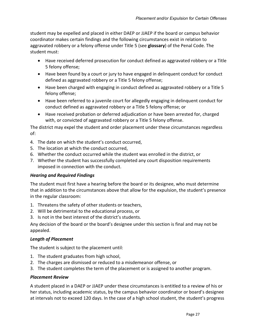student may be expelled and placed in either DAEP or JJAEP if the board or campus behavior coordinator makes certain findings and the following circumstances exist in relation to aggravated robbery or a felony offense under Title 5 (see **glossary**) of the Penal Code. The student must:

- Have received deferred prosecution for conduct defined as aggravated robbery or a Title 5 felony offense;
- Have been found by a court or jury to have engaged in delinquent conduct for conduct defined as aggravated robbery or a Title 5 felony offense;
- Have been charged with engaging in conduct defined as aggravated robbery or a Title 5 felony offense;
- Have been referred to a juvenile court for allegedly engaging in delinquent conduct for conduct defined as aggravated robbery or a Title 5 felony offense; or
- Have received probation or deferred adjudication or have been arrested for, charged with, or convicted of aggravated robbery or a Title 5 felony offense.

The district may expel the student and order placement under these circumstances regardless of:

- 4. The date on which the student's conduct occurred,
- 5. The location at which the conduct occurred,
- 6. Whether the conduct occurred while the student was enrolled in the district, or
- 7. Whether the student has successfully completed any court disposition requirements imposed in connection with the conduct.

## *Hearing and Required Findings*

The student must first have a hearing before the board or its designee, who must determine that in addition to the circumstances above that allow for the expulsion, the student's presence in the regular classroom:

- 1. Threatens the safety of other students or teachers,
- 2. Will be detrimental to the educational process, or
- 3. Is not in the best interest of the district's students.

Any decision of the board or the board's designee under this section is final and may not be appealed.

## *Length of Placement*

The student is subject to the placement until:

- 1. The student graduates from high school,
- 2. The charges are dismissed or reduced to a misdemeanor offense, or
- 3. The student completes the term of the placement or is assigned to another program.

## *Placement Review*

A student placed in a DAEP or JJAEP under these circumstances is entitled to a review of his or her status, including academic status, by the campus behavior coordinator or board's designee at intervals not to exceed 120 days. In the case of a high school student, the student's progress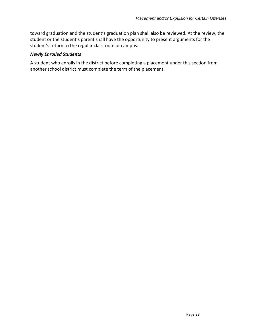toward graduation and the student's graduation plan shall also be reviewed. At the review, the student or the student's parent shall have the opportunity to present arguments for the student's return to the regular classroom or campus.

#### *Newly Enrolled Students*

A student who enrolls in the district before completing a placement under this section from another school district must complete the term of the placement.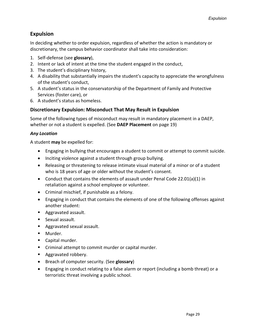## <span id="page-32-0"></span>**Expulsion**

In deciding whether to order expulsion, regardless of whether the action is mandatory or discretionary, the campus behavior coordinator shall take into consideration:

- 1. Self-defense (see **glossary**),
- 2. Intent or lack of intent at the time the student engaged in the conduct,
- 3. The student's disciplinary history,
- 4. A disability that substantially impairs the student's capacity to appreciate the wrongfulness of the student's conduct,
- 5. A student's status in the conservatorship of the Department of Family and Protective Services (foster care), or
- 6. A student's status as homeless.

## <span id="page-32-1"></span>**Discretionary Expulsion: Misconduct That May Result in Expulsion**

Some of the following types of misconduct may result in mandatory placement in a DAEP, whether or not a student is expelled. (See **DAEP Placement** on page [19\)](#page-22-0)

## *Any Location*

A student **may** be expelled for:

- Engaging in bullying that encourages a student to commit or attempt to commit suicide.
- Inciting violence against a student through group bullying.
- Releasing or threatening to release intimate visual material of a minor or of a student who is 18 years of age or older without the student's consent.
- Conduct that contains the elements of assault under Penal Code 22.01(a)(1) in retaliation against a school employee or volunteer.
- Criminal mischief, if punishable as a felony.
- Engaging in conduct that contains the elements of one of the following offenses against another student:
- **Aggravated assault.**
- **Sexual assault.**
- **Aggravated sexual assault.**
- **Murder.**
- Capital murder.
- Criminal attempt to commit murder or capital murder.
- **Aggravated robbery.**
- Breach of computer security. (See **glossary**)
- Engaging in conduct relating to a false alarm or report (including a bomb threat) or a terroristic threat involving a public school.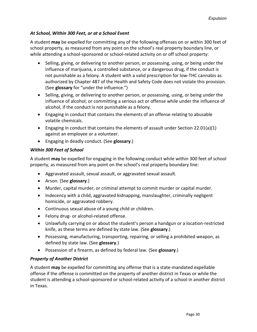## *At School, Within 300 Feet, or at a School Event*

A student **may** be expelled for committing any of the following offenses on or within 300 feet of school property, as measured from any point on the school's real property boundary line, or while attending a school-sponsored or school-related activity on or off school property:

- Selling, giving, or delivering to another person, or possessing, using, or being under the influence of marijuana, a controlled substance, or a dangerous drug, if the conduct is not punishable as a felony. A student with a valid prescription for low-THC cannabis as authorized by Chapter 487 of the Health and Safety Code does not violate this provision. (See **glossary** for "under the influence.")
- Selling, giving, or delivering to another person, or possessing, using, or being under the influence of alcohol; or committing a serious act or offense while under the influence of alcohol, if the conduct is not punishable as a felony.
- Engaging in conduct that contains the elements of an offense relating to abusable volatile chemicals.
- Engaging in conduct that contains the elements of assault under Section 22.01(a)(1) against an employee or a volunteer.
- Engaging in deadly conduct. (See **glossary**.)

## *Within 300 Feet of School*

A student **may** be expelled for engaging in the following conduct while within 300 feet of school property, as measured from any point on the school's real property boundary line:

- Aggravated assault, sexual assault, or aggravated sexual assault.
- Arson. (See **glossary**.)
- Murder, capital murder, or criminal attempt to commit murder or capital murder.
- Indecency with a child, aggravated kidnapping, manslaughter, criminally negligent homicide, or aggravated robbery.
- Continuous sexual abuse of a young child or children.
- Felony drug- or alcohol-related offense.
- Unlawfully carrying on or about the student's person a handgun or a location-restricted knife, as these terms are defined by state law. (See **glossary**.)
- Possessing, manufacturing, transporting, repairing, or selling a prohibited weapon, as defined by state law. (See **glossary**.)
- Possession of a firearm, as defined by federal law. (See **glossary**.)

## *Property of Another District*

A student **may** be expelled for committing any offense that is a state-mandated expellable offense if the offense is committed on the property of another district in Texas or while the student is attending a school-sponsored or school-related activity of a school in another district in Texas.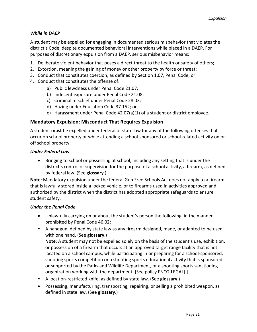## *While in DAEP*

A student may be expelled for engaging in documented serious misbehavior that violates the district's Code, despite documented behavioral interventions while placed in a DAEP. For purposes of discretionary expulsion from a DAEP, serious misbehavior means:

- 1. Deliberate violent behavior that poses a direct threat to the health or safety of others;
- 2. Extortion, meaning the gaining of money or other property by force or threat;
- 3. Conduct that constitutes coercion, as defined by Section 1.07, Penal Code; or
- 4. Conduct that constitutes the offense of:
	- a) Public lewdness under Penal Code 21.07;
	- b) Indecent exposure under Penal Code 21.08;
	- c) Criminal mischief under Penal Code 28.03;
	- d) Hazing under Education Code 37.152; or
	- e) Harassment under Penal Code 42.07(a)(1) of a student or district employee.

#### <span id="page-34-0"></span>**Mandatory Expulsion: Misconduct That Requires Expulsion**

A student **must** be expelled under federal or state law for any of the following offenses that occur on school property or while attending a school-sponsored or school-related activity on or off school property:

#### *Under Federal Law*

• Bringing to school or possessing at school, including any setting that is under the district's control or supervision for the purpose of a school activity, a firearm, as defined by federal law. (See **glossary**.)

**Note:** Mandatory expulsion under the federal Gun Free Schools Act does not apply to a firearm that is lawfully stored inside a locked vehicle, or to firearms used in activities approved and authorized by the district when the district has adopted appropriate safeguards to ensure student safety.

#### *Under the Penal Code*

- Unlawfully carrying on or about the student's person the following, in the manner prohibited by Penal Code 46.02:
- A handgun, defined by state law as any firearm designed, made, or adapted to be used with one hand. (See **glossary**.) **Note**: A student may not be expelled solely on the basis of the student's use, exhibition, or possession of a firearm that occurs at an approved target range facility that is not located on a school campus, while participating in or preparing for a school-sponsored, shooting sports competition or a shooting sports educational activity that is sponsored or supported by the Parks and Wildlife Department, or a shooting sports sanctioning organization working with the department. [See policy FNCG(LEGAL).]
- A location-restricted knife, as defined by state law. (See **glossary**.)
- Possessing, manufacturing, transporting, repairing, or selling a prohibited weapon, as defined in state law. (See **glossary**.)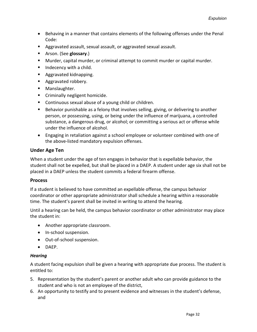- Behaving in a manner that contains elements of the following offenses under the Penal Code:
- Aggravated assault, sexual assault, or aggravated sexual assault.
- Arson. (See **glossary**.)
- Murder, capital murder, or criminal attempt to commit murder or capital murder.
- $\blacksquare$  Indecency with a child.
- **Aggravated kidnapping.**
- **Aggravated robbery.**
- **Manslaughter.**
- **EXEC** Criminally negligent homicide.
- Continuous sexual abuse of a young child or children.
- **Behavior punishable as a felony that involves selling, giving, or delivering to another** person, or possessing, using, or being under the influence of marijuana, a controlled substance, a dangerous drug, or alcohol; or committing a serious act or offense while under the influence of alcohol.
- Engaging in retaliation against a school employee or volunteer combined with one of the above-listed mandatory expulsion offenses.

## <span id="page-35-0"></span>**Under Age Ten**

When a student under the age of ten engages in behavior that is expellable behavior, the student shall not be expelled, but shall be placed in a DAEP. A student under age six shall not be placed in a DAEP unless the student commits a federal firearm offense.

#### <span id="page-35-1"></span>**Process**

If a student is believed to have committed an expellable offense, the campus behavior coordinator or other appropriate administrator shall schedule a hearing within a reasonable time. The student's parent shall be invited in writing to attend the hearing.

Until a hearing can be held, the campus behavior coordinator or other administrator may place the student in:

- Another appropriate classroom.
- In-school suspension.
- Out-of-school suspension.
- DAEP.

#### *Hearing*

A student facing expulsion shall be given a hearing with appropriate due process. The student is entitled to:

- 5. Representation by the student's parent or another adult who can provide guidance to the student and who is not an employee of the district,
- 6. An opportunity to testify and to present evidence and witnesses in the student's defense, and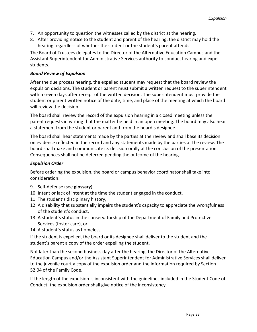- 7. An opportunity to question the witnesses called by the district at the hearing.
- 8. After providing notice to the student and parent of the hearing, the district may hold the hearing regardless of whether the student or the student's parent attends.

The Board of Trustees delegates to the Director of the Alternative Education Campus and the Assistant Superintendent for Administrative Services authority to conduct hearing and expel students.

#### *Board Review of Expulsion*

After the due process hearing, the expelled student may request that the board review the expulsion decisions. The student or parent must submit a written request to the superintendent within seven days after receipt of the written decision. The superintendent must provide the student or parent written notice of the date, time, and place of the meeting at which the board will review the decision.

The board shall review the record of the expulsion hearing in a closed meeting unless the parent requests in writing that the matter be held in an open meeting. The board may also hear a statement from the student or parent and from the board's designee.

The board shall hear statements made by the parties at the review and shall base its decision on evidence reflected in the record and any statements made by the parties at the review. The board shall make and communicate its decision orally at the conclusion of the presentation. Consequences shall not be deferred pending the outcome of the hearing.

## *Expulsion Order*

Before ordering the expulsion, the board or campus behavior coordinator shall take into consideration:

- 9. Self-defense (see **glossary**),
- 10. Intent or lack of intent at the time the student engaged in the conduct,
- 11. The student's disciplinary history,
- 12. A disability that substantially impairs the student's capacity to appreciate the wrongfulness of the student's conduct,
- 13. A student's status in the conservatorship of the Department of Family and Protective Services (foster care), or
- 14. A student's status as homeless.

If the student is expelled, the board or its designee shall deliver to the student and the student's parent a copy of the order expelling the student.

Not later than the second business day after the hearing, the Director of the Alternative Education Campus and/or the Assistant Superintendent for Administrative Services shall deliver to the juvenile court a copy of the expulsion order and the information required by Section 52.04 of the Family Code.

If the length of the expulsion is inconsistent with the guidelines included in the Student Code of Conduct, the expulsion order shall give notice of the inconsistency.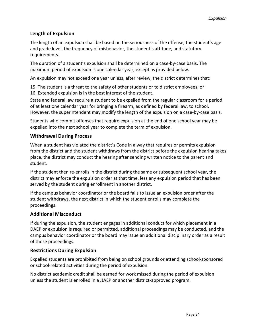## <span id="page-37-0"></span>**Length of Expulsion**

The length of an expulsion shall be based on the seriousness of the offense, the student's age and grade level, the frequency of misbehavior, the student's attitude, and statutory requirements.

The duration of a student's expulsion shall be determined on a case-by-case basis. The maximum period of expulsion is one calendar year, except as provided below.

An expulsion may not exceed one year unless, after review, the district determines that:

15. The student is a threat to the safety of other students or to district employees, or 16. Extended expulsion is in the best interest of the student.

State and federal law require a student to be expelled from the regular classroom for a period of at least one calendar year for bringing a firearm, as defined by federal law, to school. However, the superintendent may modify the length of the expulsion on a case-by-case basis.

Students who commit offenses that require expulsion at the end of one school year may be expelled into the next school year to complete the term of expulsion.

## <span id="page-37-1"></span>**Withdrawal During Process**

When a student has violated the district's Code in a way that requires or permits expulsion from the district and the student withdraws from the district before the expulsion hearing takes place, the district may conduct the hearing after sending written notice to the parent and student.

If the student then re-enrolls in the district during the same or subsequent school year, the district may enforce the expulsion order at that time, less any expulsion period that has been served by the student during enrollment in another district.

If the campus behavior coordinator or the board fails to issue an expulsion order after the student withdraws, the next district in which the student enrolls may complete the proceedings.

## <span id="page-37-2"></span>**Additional Misconduct**

If during the expulsion, the student engages in additional conduct for which placement in a DAEP or expulsion is required or permitted, additional proceedings may be conducted, and the campus behavior coordinator or the board may issue an additional disciplinary order as a result of those proceedings.

#### <span id="page-37-3"></span>**Restrictions During Expulsion**

Expelled students are prohibited from being on school grounds or attending school-sponsored or school-related activities during the period of expulsion.

No district academic credit shall be earned for work missed during the period of expulsion unless the student is enrolled in a JJAEP or another district-approved program.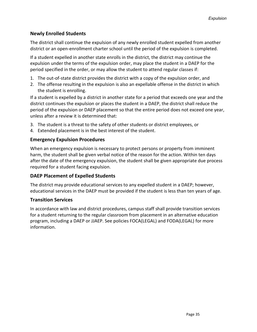## <span id="page-38-0"></span>**Newly Enrolled Students**

The district shall continue the expulsion of any newly enrolled student expelled from another district or an open-enrollment charter school until the period of the expulsion is completed.

If a student expelled in another state enrolls in the district, the district may continue the expulsion under the terms of the expulsion order, may place the student in a DAEP for the period specified in the order, or may allow the student to attend regular classes if:

- 1. The out-of-state district provides the district with a copy of the expulsion order, and
- 2. The offense resulting in the expulsion is also an expellable offense in the district in which the student is enrolling.

If a student is expelled by a district in another state for a period that exceeds one year and the district continues the expulsion or places the student in a DAEP, the district shall reduce the period of the expulsion or DAEP placement so that the entire period does not exceed one year, unless after a review it is determined that:

- 3. The student is a threat to the safety of other students or district employees, or
- 4. Extended placement is in the best interest of the student.

## <span id="page-38-1"></span>**Emergency Expulsion Procedures**

When an emergency expulsion is necessary to protect persons or property from imminent harm, the student shall be given verbal notice of the reason for the action. Within ten days after the date of the emergency expulsion, the student shall be given appropriate due process required for a student facing expulsion.

## <span id="page-38-2"></span>**DAEP Placement of Expelled Students**

The district may provide educational services to any expelled student in a DAEP; however, educational services in the DAEP must be provided if the student is less than ten years of age.

#### <span id="page-38-3"></span>**Transition Services**

In accordance with law and district procedures, campus staff shall provide transition services for a student returning to the regular classroom from placement in an alternative education program, including a DAEP or JJAEP. See policies FOCA(LEGAL) and FODA(LEGAL) for more information.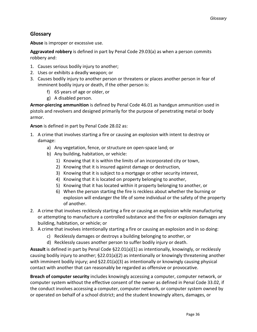## <span id="page-39-0"></span>**Glossary**

**Abuse** is improper or excessive use.

**Aggravated robbery** is defined in part by Penal Code 29.03(a) as when a person commits robbery and:

- 1. Causes serious bodily injury to another;
- 2. Uses or exhibits a deadly weapon; or
- 3. Causes bodily injury to another person or threatens or places another person in fear of imminent bodily injury or death, if the other person is:
	- f) 65 years of age or older, or
	- g) A disabled person.

**Armor-piercing ammunition** is defined by Penal Code 46.01 as handgun ammunition used in pistols and revolvers and designed primarily for the purpose of penetrating metal or body armor.

**Arson** is defined in part by Penal Code 28.02 as:

- 1. A crime that involves starting a fire or causing an explosion with intent to destroy or damage:
	- a) Any vegetation, fence, or structure on open-space land; or
	- b) Any building, habitation, or vehicle:
		- 1) Knowing that it is within the limits of an incorporated city or town,
		- 2) Knowing that it is insured against damage or destruction,
		- 3) Knowing that it is subject to a mortgage or other security interest,
		- 4) Knowing that it is located on property belonging to another,
		- 5) Knowing that it has located within it property belonging to another, or
		- 6) When the person starting the fire is reckless about whether the burning or explosion will endanger the life of some individual or the safety of the property of another.
- 2. A crime that involves recklessly starting a fire or causing an explosion while manufacturing or attempting to manufacture a controlled substance and the fire or explosion damages any building, habitation, or vehicle; or
- 3. A crime that involves intentionally starting a fire or causing an explosion and in so doing:
	- c) Recklessly damages or destroys a building belonging to another, or
	- d) Recklessly causes another person to suffer bodily injury or death.

**Assault** is defined in part by Penal Code §22.01(a)(1) as intentionally, knowingly, or recklessly causing bodily injury to another; §22.01(a)(2) as intentionally or knowingly threatening another with imminent bodily injury; and §22.01(a)(3) as intentionally or knowingly causing physical contact with another that can reasonably be regarded as offensive or provocative.

**Breach of computer security** includes knowingly accessing a computer, computer network, or computer system without the effective consent of the owner as defined in Penal Code 33.02, if the conduct involves accessing a computer, computer network, or computer system owned by or operated on behalf of a school district; and the student knowingly alters, damages, or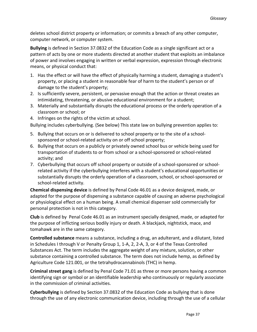deletes school district property or information; or commits a breach of any other computer, computer network, or computer system.

**Bullying** is defined in Section 37.0832 of the Education Code as a single significant act or a pattern of acts by one or more students directed at another student that exploits an imbalance of power and involves engaging in written or verbal expression, expression through electronic means, or physical conduct that:

- 1. Has the effect or will have the effect of physically harming a student, damaging a student's property, or placing a student in reasonable fear of harm to the student's person or of damage to the student's property;
- 2. Is sufficiently severe, persistent, or pervasive enough that the action or threat creates an intimidating, threatening, or abusive educational environment for a student;
- 3. Materially and substantially disrupts the educational process or the orderly operation of a classroom or school; or
- 4. Infringes on the rights of the victim at school.

Bullying includes cyberbullying. (See below) This state law on bullying prevention applies to:

- 5. Bullying that occurs on or is delivered to school property or to the site of a schoolsponsored or school-related activity on or off school property;
- 6. Bullying that occurs on a publicly or privately owned school bus or vehicle being used for transportation of students to or from school or a school-sponsored or school-related activity; and
- 7. Cyberbullying that occurs off school property or outside of a school-sponsored or schoolrelated activity if the cyberbullying interferes with a student's educational opportunities or substantially disrupts the orderly operation of a classroom, school, or school-sponsored or school-related activity.

**Chemical dispensing device** is defined by Penal Code 46.01 as a device designed, made, or adapted for the purpose of dispensing a substance capable of causing an adverse psychological or physiological effect on a human being. A small chemical dispenser sold commercially for personal protection is not in this category.

**Club** is defined by Penal Code 46.01 as an instrument specially designed, made, or adapted for the purpose of inflicting serious bodily injury or death. A blackjack, nightstick, mace, and tomahawk are in the same category.

**Controlled substance** means a substance, including a drug, an adulterant, and a dilutant, listed in Schedules I through V or Penalty Group 1, 1-A, 2, 2-A, 3, or 4 of the Texas Controlled Substances Act. The term includes the aggregate weight of any mixture, solution, or other substance containing a controlled substance. The term does not include hemp, as defined by Agriculture Code 121.001, or the tetrahydrocannabinols (THC) in hemp.

**Criminal street gang** is defined by Penal Code 71.01 as three or more persons having a common identifying sign or symbol or an identifiable leadership who continuously or regularly associate in the commission of criminal activities.

**Cyberbullying** is defined by Section 37.0832 of the Education Code as bullying that is done through the use of any electronic communication device, including through the use of a cellular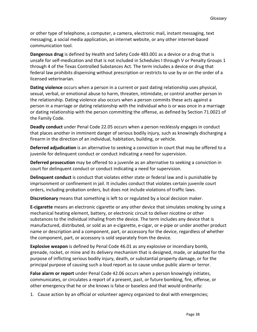or other type of telephone, a computer, a camera, electronic mail, instant messaging, text messaging, a social media application, an internet website, or any other internet-based communication tool.

**Dangerous drug** is defined by Health and Safety Code 483.001 as a device or a drug that is unsafe for self-medication and that is not included in Schedules I through V or Penalty Groups 1 through 4 of the Texas Controlled Substances Act. The term includes a device or drug that federal law prohibits dispensing without prescription or restricts to use by or on the order of a licensed veterinarian.

**Dating violence** occurs when a person in a current or past dating relationship uses physical, sexual, verbal, or emotional abuse to harm, threaten, intimidate, or control another person in the relationship. Dating violence also occurs when a person commits these acts against a person in a marriage or dating relationship with the individual who is or was once in a marriage or dating relationship with the person committing the offense, as defined by Section 71.0021 of the Family Code.

**Deadly conduct** under Penal Code 22.05 occurs when a person recklessly engages in conduct that places another in imminent danger of serious bodily injury, such as knowingly discharging a firearm in the direction of an individual, habitation, building, or vehicle.

**Deferred adjudication** is an alternative to seeking a conviction in court that may be offered to a juvenile for delinquent conduct or conduct indicating a need for supervision.

**Deferred prosecution** may be offered to a juvenile as an alternative to seeking a conviction in court for delinquent conduct or conduct indicating a need for supervision.

**Delinquent conduct** is conduct that violates either state or federal law and is punishable by imprisonment or confinement in jail. It includes conduct that violates certain juvenile court orders, including probation orders, but does not include violations of traffic laws.

**Discretionary** means that something is left to or regulated by a local decision maker.

**E-cigarette** means an electronic cigarette or any other device that simulates smoking by using a mechanical heating element, battery, or electronic circuit to deliver nicotine or other substances to the individual inhaling from the device. The term includes any device that is manufactured, distributed, or sold as an e-cigarette, e-cigar, or e-pipe or under another product name or description and a component, part, or accessory for the device, regardless of whether the component, part, or accessory is sold separately from the device.

**Explosive weapon** is defined by Penal Code 46.01 as any explosive or incendiary bomb, grenade, rocket, or mine and its delivery mechanism that is designed, made, or adapted for the purpose of inflicting serious bodily injury, death, or substantial property damage, or for the principal purpose of causing such a loud report as to cause undue public alarm or terror.

**False alarm or report** under Penal Code 42.06 occurs when a person knowingly initiates, communicates, or circulates a report of a present, past, or future bombing, fire, offense, or other emergency that he or she knows is false or baseless and that would ordinarily:

1. Cause action by an official or volunteer agency organized to deal with emergencies;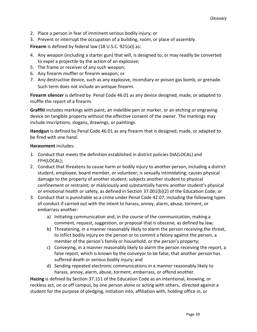- 2. Place a person in fear of imminent serious bodily injury; or
- 3. Prevent or interrupt the occupation of a building, room, or place of assembly.

**Firearm** is defined by federal law (18 U.S.C. 921(a)) as:

- 4. Any weapon (including a starter gun) that will, is designed to, or may readily be converted to expel a projectile by the action of an explosive;
- 5. The frame or receiver of any such weapon;
- 6. Any firearm muffler or firearm weapon; or
- 7. Any destructive device, such as any explosive, incendiary or poison gas bomb, or grenade. Such term does not include an antique firearm.

**Firearm silencer** is defined by Penal Code 46.01 as any device designed, made, or adapted to muffle the report of a firearm.

**Graffiti** includes markings with paint, an indelible pen or marker, or an etching or engraving device on tangible property without the effective consent of the owner. The markings may include inscriptions, slogans, drawings, or paintings.

**Handgun** is defined by Penal Code 46.01 as any firearm that is designed, made, or adapted to be fired with one hand.

#### **Harassment** includes:

- 1. Conduct that meets the definition established in district policies DIA(LOCAL) and FFH(LOCAL);
- 2. Conduct that threatens to cause harm or bodily injury to another person, including a district student, employee, board member, or volunteer; is sexually intimidating; causes physical damage to the property of another student; subjects another student to physical confinement or restraint; or maliciously and substantially harms another student's physical or emotional health or safety, as defined in Section 37.001(b)(2) of the Education Code; or
- 3. Conduct that is punishable as a crime under Penal Code 42.07, including the following types of conduct if carried out with the intent to harass, annoy, alarm, abuse, torment, or embarrass another:
	- a) Initiating communication and, in the course of the communication, making a comment, request, suggestion, or proposal that is obscene, as defined by law;
	- b) Threatening, in a manner reasonably likely to alarm the person receiving the threat, to inflict bodily injury on the person or to commit a felony against the person, a member of the person's family or household, or the person's property;
	- c) Conveying, in a manner reasonably likely to alarm the person receiving the report, a false report, which is known by the conveyor to be false, that another person has suffered death or serious bodily injury; and
	- d) Sending repeated electronic communications in a manner reasonably likely to harass, annoy, alarm, abuse, torment, embarrass, or offend another.

**Hazing** is defined by Section 37.151 of the Education Code as an intentional, knowing, or reckless act, on or off campus, by one person alone or acting with others, directed against a student for the purpose of pledging, initiation into, affiliation with, holding office in, or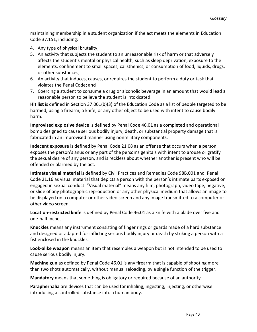maintaining membership in a student organization if the act meets the elements in Education Code 37.151, including:

- 4. Any type of physical brutality;
- 5. An activity that subjects the student to an unreasonable risk of harm or that adversely affects the student's mental or physical health, such as sleep deprivation, exposure to the elements, confinement to small spaces, calisthenics, or consumption of food, liquids, drugs, or other substances;
- 6. An activity that induces, causes, or requires the student to perform a duty or task that violates the Penal Code; and
- 7. Coercing a student to consume a drug or alcoholic beverage in an amount that would lead a reasonable person to believe the student is intoxicated.

**Hit list** is defined in Section 37.001(b)(3) of the Education Code as a list of people targeted to be harmed, using a firearm, a knife, or any other object to be used with intent to cause bodily harm.

**Improvised explosive device** is defined by Penal Code 46.01 as a completed and operational bomb designed to cause serious bodily injury, death, or substantial property damage that is fabricated in an improvised manner using nonmilitary components.

**Indecent exposure** is defined by Penal Code 21.08 as an offense that occurs when a person exposes the person's anus or any part of the person's genitals with intent to arouse or gratify the sexual desire of any person, and is reckless about whether another is present who will be offended or alarmed by the act.

**Intimate visual material** is defined by Civil Practices and Remedies Code 98B.001 and Penal Code 21.16 as visual material that depicts a person with the person's intimate parts exposed or engaged in sexual conduct. "Visual material" means any film, photograph, video tape, negative, or slide of any photographic reproduction or any other physical medium that allows an image to be displayed on a computer or other video screen and any image transmitted to a computer or other video screen.

**Location-restricted knife** is defined by Penal Code 46.01 as a knife with a blade over five and one-half inches.

**Knuckles** means any instrument consisting of finger rings or guards made of a hard substance and designed or adapted for inflicting serious bodily injury or death by striking a person with a fist enclosed in the knuckles.

**Look-alike weapon** means an item that resembles a weapon but is not intended to be used to cause serious bodily injury.

**Machine gun** as defined by Penal Code 46.01 is any firearm that is capable of shooting more than two shots automatically, without manual reloading, by a single function of the trigger.

**Mandatory** means that something is obligatory or required because of an authority.

**Paraphernalia** are devices that can be used for inhaling, ingesting, injecting, or otherwise introducing a controlled substance into a human body.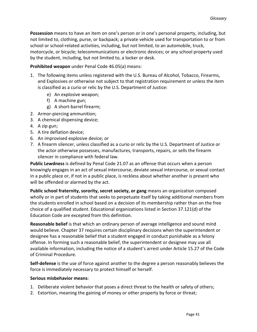**Possession** means to have an item on one's person or in one's personal property, including, but not limited to, clothing, purse, or backpack; a private vehicle used for transportation to or from school or school-related activities, including, but not limited, to an automobile, truck, motorcycle, or bicycle; telecommunications or electronic devices; or any school property used by the student, including, but not limited to, a locker or desk.

#### **Prohibited weapon** under Penal Code 46.05(a) means:

- 1. The following items unless registered with the U.S. Bureau of Alcohol, Tobacco, Firearms, and Explosives or otherwise not subject to that registration requirement or unless the item is classified as a curio or relic by the U.S. Department of Justice:
	- e) An explosive weapon;
	- f) A machine gun;
	- g) A short-barrel firearm;
- 2. Armor-piercing ammunition;
- 3. A chemical dispensing device;
- 4. A zip gun;
- 5. A tire deflation device;
- 6. An improvised explosive device; or
- 7. A firearm silencer, unless classified as a curio or relic by the U.S. Department of Justice or the actor otherwise possesses, manufactures, transports, repairs, or sells the firearm silencer in compliance with federal law.

**Public Lewdness** is defined by Penal Code 21.07 as an offense that occurs when a person knowingly engages in an act of sexual intercourse, deviate sexual intercourse, or sexual contact in a public place or, if not in a public place, is reckless about whether another is present who will be offended or alarmed by the act.

**Public school fraternity, sorority, secret society, or gang** means an organization composed wholly or in part of students that seeks to perpetuate itself by taking additional members from the students enrolled in school based on a decision of its membership rather than on the free choice of a qualified student. Educational organizations listed in Section 37.121(d) of the Education Code are excepted from this definition.

**Reasonable belief** is that which an ordinary person of average intelligence and sound mind would believe. Chapter 37 requires certain disciplinary decisions when the superintendent or designee has a reasonable belief that a student engaged in conduct punishable as a felony offense. In forming such a reasonable belief, the superintendent or designee may use all available information, including the notice of a student's arrest under Article 15.27 of the Code of Criminal Procedure.

**Self-defense** is the use of force against another to the degree a person reasonably believes the force is immediately necessary to protect himself or herself.

#### **Serious misbehavior means**:

- 1. Deliberate violent behavior that poses a direct threat to the health or safety of others;
- 2. Extortion, meaning the gaining of money or other property by force or threat;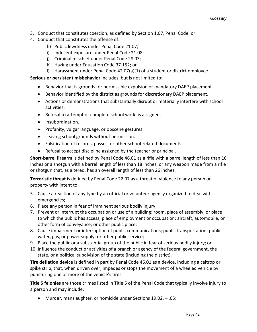- 3. Conduct that constitutes coercion, as defined by Section 1.07, Penal Code; or
- 4. Conduct that constitutes the offense of:
	- h) Public lewdness under Penal Code 21.07;
	- i) Indecent exposure under Penal Code 21.08;
	- j) Criminal mischief under Penal Code 28.03;
	- k) Hazing under Education Code 37.152; or
	- l) Harassment under Penal Code 42.07(a)(1) of a student or district employee.

**Serious or persistent misbehavior** includes, but is not limited to:

- Behavior that is grounds for permissible expulsion or mandatory DAEP placement.
- Behavior identified by the district as grounds for discretionary DAEP placement.
- Actions or demonstrations that substantially disrupt or materially interfere with school activities.
- Refusal to attempt or complete school work as assigned.
- Insubordination.
- Profanity, vulgar language, or obscene gestures.
- Leaving school grounds without permission.
- Falsification of records, passes, or other school-related documents.
- Refusal to accept discipline assigned by the teacher or principal.

**Short-barrel firearm** is defined by Penal Code 46.01 as a rifle with a barrel length of less than 16 inches or a shotgun with a barrel length of less than 18 inches, or any weapon made from a rifle or shotgun that, as altered, has an overall length of less than 26 inches.

**Terroristic threat** is defined by Penal Code 22.07 as a threat of violence to any person or property with intent to:

- 5. Cause a reaction of any type by an official or volunteer agency organized to deal with emergencies;
- 6. Place any person in fear of imminent serious bodily injury;
- 7. Prevent or interrupt the occupation or use of a building; room, place of assembly, or place to which the public has access; place of employment or occupation; aircraft, automobile, or other form of conveyance; or other public place;
- 8. Cause impairment or interruption of public communications; public transportation; public water, gas, or power supply; or other public service;
- 9. Place the public or a substantial group of the public in fear of serious bodily injury; or
- 10. Influence the conduct or activities of a branch or agency of the federal government, the state, or a political subdivision of the state (including the district).

**Tire deflation device** is defined in part by Penal Code 46.01 as a device, including a caltrop or spike strip, that, when driven over, impedes or stops the movement of a wheeled vehicle by puncturing one or more of the vehicle's tires.

**Title 5 felonies** are those crimes listed in Title 5 of the Penal Code that typically involve injury to a person and may include:

• Murder, manslaughter, or homicide under Sections 19.02, – .05;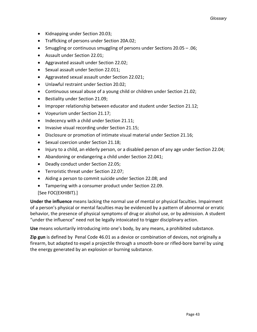- Kidnapping under Section 20.03;
- Trafficking of persons under Section 20A.02;
- Smuggling or continuous smuggling of persons under Sections 20.05 .06;
- Assault under Section 22.01;
- Aggravated assault under Section 22.02;
- Sexual assault under Section 22.011;
- Aggravated sexual assault under Section 22.021;
- Unlawful restraint under Section 20.02;
- Continuous sexual abuse of a young child or children under Section 21.02;
- Bestiality under Section 21.09;
- Improper relationship between educator and student under Section 21.12;
- Voyeurism under Section 21.17;
- Indecency with a child under Section 21.11;
- Invasive visual recording under Section 21.15;
- Disclosure or promotion of intimate visual material under Section 21.16;
- Sexual coercion under Section 21.18;
- Injury to a child, an elderly person, or a disabled person of any age under Section 22.04;
- Abandoning or endangering a child under Section 22.041;
- Deadly conduct under Section 22.05;
- Terroristic threat under Section 22.07;
- Aiding a person to commit suicide under Section 22.08; and
- Tampering with a consumer product under Section 22.09.

#### [See FOC(EXHIBIT).]

**Under the influence** means lacking the normal use of mental or physical faculties. Impairment of a person's physical or mental faculties may be evidenced by a pattern of abnormal or erratic behavior, the presence of physical symptoms of drug or alcohol use, or by admission. A student "under the influence" need not be legally intoxicated to trigger disciplinary action.

**Use** means voluntarily introducing into one's body, by any means, a prohibited substance.

**Zip gun** is defined by Penal Code 46.01 as a device or combination of devices, not originally a firearm, but adapted to expel a projectile through a smooth-bore or rifled-bore barrel by using the energy generated by an explosion or burning substance.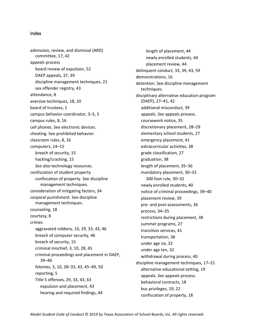#### <span id="page-47-0"></span>Index

admission, review, and dismissal (ARD) committee, 17, 42 appeals process board review of expulsion, 52 DAEP appeals, 37, 39 discipline management techniques, 21 sex offender registry, 43 attendance, 8 aversive techniques, 18, 20 board of trustees, 1 campus behavior coordinator, 3–5, 5 campus rules, 8, 16 cell phones. See electronic devices. cheating. See prohibited behavior. classroom rules, 8, 16 computers, 14–15 breach of security, 15 hacking/cracking, 15 *See also* technology resources. confiscation of student property confiscation of property. See discipline management techniques. consideration of mitigating factors, 34 corporal punishment. See discipline management techniques. counseling, 18 courtesy, 8 crimes aggravated robbery, 10, 29, 33, 43, 46 breach of computer security, 46 breach of security, 15 criminal mischief, 3, 10, 28, 45 criminal proceedings and placement in DAEP, 39–40 felonies, 3, 10, 28–33, 43, 45–49, 50 reporting, 5 Title 5 offenses, 29, 33, 43, 63 expulsion and placement, 43 hearing and required findings, 44

length of placement, 44 newly enrolled students, 44 placement review, 44 delinquent conduct, 33, 39, 43, 59 demonstrations, 16 detention. See discipline management techniques. disciplinary alternative education program (DAEP), 27–41, 42 additional misconduct, 39 appeals. *See* appeals process. coursework notice, 35 discretionary placement, 28–29 elementary school students, 27 emergency placement, 41 extracurricular activities, 38 grade classification, 27 graduation, 38 length of placement, 35–36 mandatory placement, 30–33 300 foot rule, 30–32 newly enrolled students, 40 notice of criminal proceedings, 39–40 placement review, 39 pre- and post-assessments, 36 process, 34–35 restrictions during placement, 38 summer programs, 27 transition services, 41 transportation, 38 under age six, 32 under age ten, 32 withdrawal during process, 40 discipline management techniques, 17–21 alternative educational setting, 19 appeals. *See* appeals process. behavioral contracts, 18 bus privileges, 19, 22 confiscation of property, 18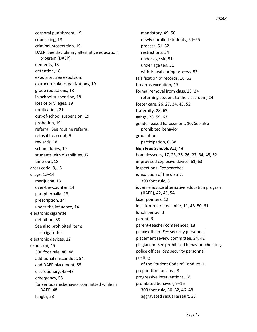corporal punishment, 19 counseling, 18 criminal prosecution, 19 DAEP. See disciplinary alternative education program (DAEP). demerits, 18 detention, 18 expulsion. See expulsion. extracurricular organizations, 19 grade reductions, 18 in-school suspension, 18 loss of privileges, 19 notification, 21 out-of-school suspension, 19 probation, 19 referral. See routine referral. refusal to accept, 9 rewards, 18 school duties, 19 students with disabilities, 17 time-out, 18 dress code, 8, 16 drugs, 13–14 marijuana, 13 over-the-counter, 14 paraphernalia, 13 prescription, 14 under the influence, 14 electronic cigarette definition, 59 See also prohibited items e-cigarettes. electronic devices, 12 expulsion, 45 300 foot rule, 46–48 additional misconduct, 54 and DAEP placement, 55 discretionary, 45–48 emergency, 55 for serious misbehavior committed while in DAEP, 48 length, 53

mandatory, 49–50 newly enrolled students, 54–55 process, 51–52 restrictions, 54 under age six, 51 under age ten, 51 withdrawal during process, 53 falsification of records, 16, 63 firearms exception, 49 formal removal from class, 23–24 returning student to the classroom, 24 foster care, 26, 27, 34, 45, 52 fraternity, 28, 63 gangs, 28, 59, 63 gender-based harassment, 10, See also prohibited behavior. graduation participation, 6, 38 **Gun Free Schools Act**, 49 homelessness, 17, 23, 25, 26, 27, 34, 45, 52 improvised explosive device, 61, 63 inspections. *See* searches jurisdiction of the district 300 foot rule, 3 juvenile justice alternative education program (JJAEP), 42, 43, 54 laser pointers, 12 location-restricted knife, 11, 48, 50, 61 lunch period, 3 parent, 6 parent-teacher conferences, 18 peace officer. *See* security personnel placement review committee, 24, 42 plagiarism. See prohibited behavior: cheating. police officer. *See* security personnel posting of the Student Code of Conduct, 1 preparation for class, 8 progressive interventions, 18 prohibited behavior, 9–16 300 foot rule, 30–32, 46–48 aggravated sexual assault, 33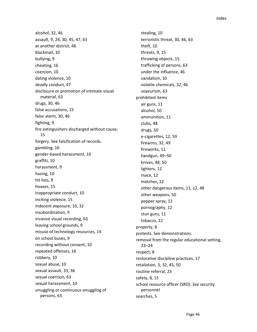alcohol, 32, 46 assault, 9, 24, 30, 45, 47, 63 at another district, 48 blackmail, 10 bullying, 9 cheating, 16 coercion, 10 dating violence, 10 deadly conduct, 47 disclosure or promotion of intimate visual material, 63 drugs, 30, 46 false accusations, 15 false alarm, 30, 46 fighting, 9 fire extinguishers discharged without cause, 15 forgery. See falsification of records. gambling, 16 gender-based harassment, 10 graffiti, 10 harassment, 9 hazing, 10 hit lists, 9 hoaxes, 15 inappropriate conduct, 10 inciting violence, 15 indecent exposure, 10, 32 insubordination, 9 invasive visual recording, 63 leaving school grounds, 9 misuse of technology resources, 14 on school buses, 9 recording without consent, 10 repeated offenses, 16 robbery, 10 sexual abuse, 10 sexual assault, 33, 36 sexual coercion, 63 sexual harassment, 10 smuggling or continuous smuggling of persons, 63

stealing, 10 terroristic threat, 30, 46, 63 theft, 10 threats, 9, 15 throwing objects, 15 trafficking of persons, 63 under the influence, 46 vandalism, 10 volatile chemicals, 32, 46 voyeurism, 63 prohibited items air guns, 11 alcohol, 50 ammunition, 11 clubs, 48 drugs, 50 e-cigarettes, 12, 59 firearms, 32, 49 fireworks, 11 handgun, 49–50 knives, 48, 50 lighters, 12 mace, 12 matches, 12 other dangerous items, 11, 12, 48 other weapons, 50 pepper spray, 12 pornography, 12 stun guns, 11 tobacco, 12 property, 8 protests. See demonstrations. removal from the regular educational setting, 23–24 respect, 8 restorative discipline practices, 17 retaliation, 3, 32, 45, 50 routine referral, 23 safety, 8, 15 school resource officer (SRO). *See* security personnel searches, 5